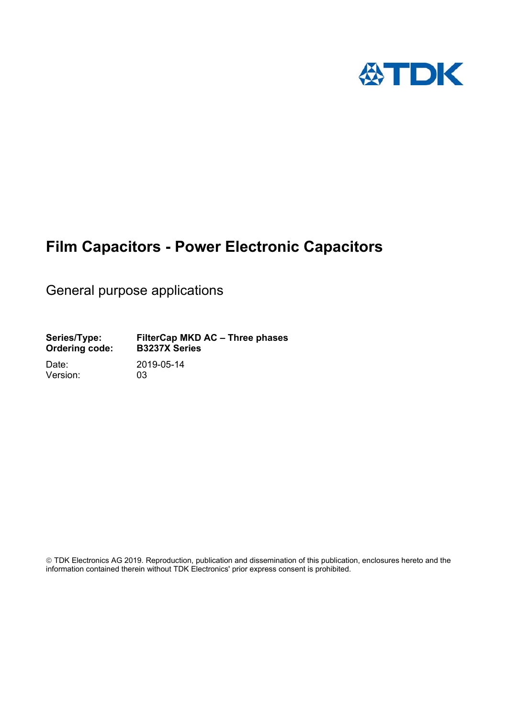

# **Film Capacitors - Power Electronic Capacitors**

General purpose applications

**Series/Type: FilterCap MKD AC – Three phases Ordering code:** 

Version: 03

Date: 2019-05-14

 TDK Electronics AG 2019. Reproduction, publication and dissemination of this publication, enclosures hereto and the information contained therein without TDK Electronics' prior express consent is prohibited.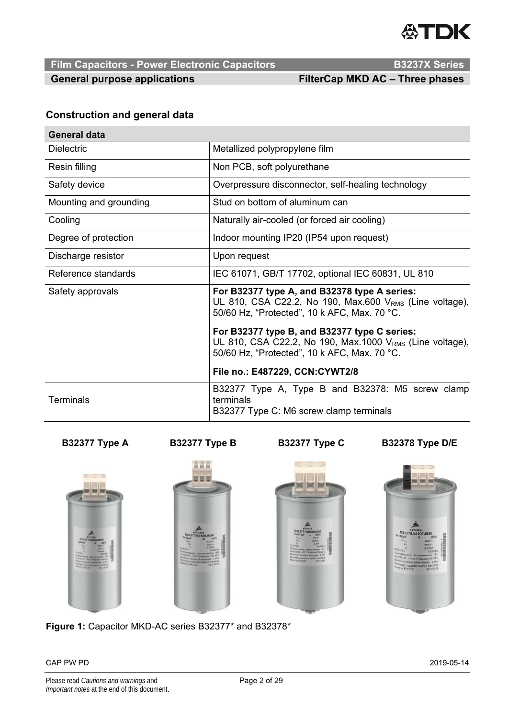

**Film Capacitors - Power Electronic Capacitors Access Access B3237X Series** 

General purpose applications **FilterCap MKD AC – Three phases** 

### **Construction and general data**

| <b>General data</b>    |                                                                                                                                                           |  |  |  |  |  |
|------------------------|-----------------------------------------------------------------------------------------------------------------------------------------------------------|--|--|--|--|--|
| <b>Dielectric</b>      | Metallized polypropylene film                                                                                                                             |  |  |  |  |  |
| Resin filling          | Non PCB, soft polyurethane                                                                                                                                |  |  |  |  |  |
| Safety device          | Overpressure disconnector, self-healing technology                                                                                                        |  |  |  |  |  |
| Mounting and grounding | Stud on bottom of aluminum can                                                                                                                            |  |  |  |  |  |
| Cooling                | Naturally air-cooled (or forced air cooling)                                                                                                              |  |  |  |  |  |
| Degree of protection   | Indoor mounting IP20 (IP54 upon request)                                                                                                                  |  |  |  |  |  |
| Discharge resistor     | Upon request                                                                                                                                              |  |  |  |  |  |
| Reference standards    | IEC 61071, GB/T 17702, optional IEC 60831, UL 810                                                                                                         |  |  |  |  |  |
| Safety approvals       | For B32377 type A, and B32378 type A series:<br>UL 810, CSA C22.2, No 190, Max.600 $VRMS$ (Line voltage),<br>50/60 Hz, "Protected", 10 k AFC, Max. 70 °C. |  |  |  |  |  |
|                        | For B32377 type B, and B32377 type C series:<br>UL 810, CSA C22.2, No 190, Max.1000 VRMS (Line voltage),<br>50/60 Hz, "Protected", 10 k AFC, Max. 70 °C.  |  |  |  |  |  |
|                        | File no.: E487229, CCN:CYWT2/8                                                                                                                            |  |  |  |  |  |
| <b>Terminals</b>       | B32377 Type A, Type B and B32378: M5 screw clamp<br>terminals<br>B32377 Type C: M6 screw clamp terminals                                                  |  |  |  |  |  |

**B32377 Type A B32377 Type B B32377 Type C B32378 Type D/E** 







**Figure 1:** Capacitor MKD-AC series B32377\* and B32378\*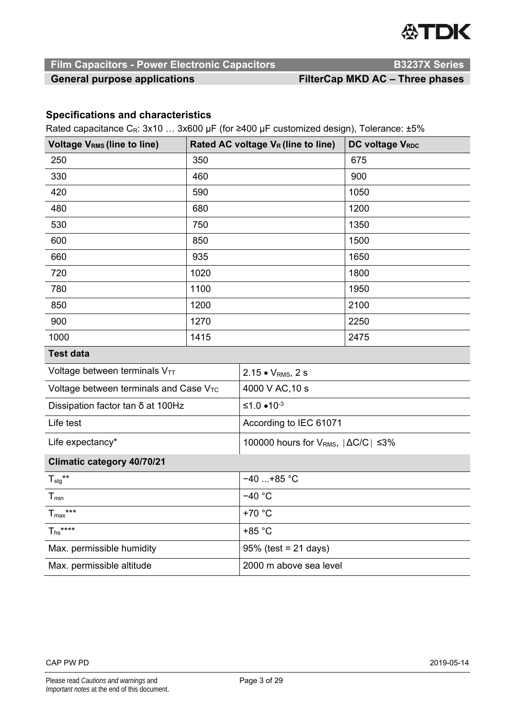

# **Film Capacitors - Power Electronic Capacitors Access Access B3237X Series**

### General purpose applications **FilterCap MKD AC – Three phases**

## **Specifications and characteristics**

Rated capacitance CR: 3x10 … 3x600 μF (for ≥400 µF customized design), Tolerance: ±5%

| <b>Voltage VRMS (line to line)</b>                 |      | Rated AC voltage V <sub>R</sub> (line to line)       | DC voltage VRDC |  |  |  |
|----------------------------------------------------|------|------------------------------------------------------|-----------------|--|--|--|
| 250                                                | 350  |                                                      | 675             |  |  |  |
| 330                                                | 460  |                                                      | 900             |  |  |  |
| 420                                                | 590  |                                                      | 1050            |  |  |  |
| 480                                                | 680  |                                                      | 1200            |  |  |  |
| 530                                                | 750  |                                                      | 1350            |  |  |  |
| 600                                                | 850  |                                                      | 1500            |  |  |  |
| 660                                                | 935  |                                                      | 1650            |  |  |  |
| 720                                                | 1020 |                                                      | 1800            |  |  |  |
| 780                                                | 1100 |                                                      | 1950            |  |  |  |
| 850                                                | 1200 |                                                      | 2100            |  |  |  |
| 900                                                | 1270 |                                                      | 2250            |  |  |  |
| 1000                                               | 1415 |                                                      | 2475            |  |  |  |
| <b>Test data</b>                                   |      |                                                      |                 |  |  |  |
| Voltage between terminals VTT                      |      | 2.15 • V <sub>RMS</sub> , 2 s                        |                 |  |  |  |
| Voltage between terminals and Case V <sub>TC</sub> |      | 4000 V AC, 10 s                                      |                 |  |  |  |
| Dissipation factor tan δ at 100Hz                  |      | ≤1.0 $•10^{-3}$                                      |                 |  |  |  |
| Life test                                          |      | According to IEC 61071                               |                 |  |  |  |
| Life expectancy*                                   |      | 100000 hours for $V_{RMS}$ , $ \Delta C/C  \leq 3\%$ |                 |  |  |  |
| <b>Climatic category 40/70/21</b>                  |      |                                                      |                 |  |  |  |
| $T_{\text{stg}}$ **                                |      | $-40+85$ °C                                          |                 |  |  |  |
| $T_{min}$                                          |      | $-40$ °C                                             |                 |  |  |  |
| $T_{\text{max}}$ ***                               |      | +70 °C                                               |                 |  |  |  |
| $T_{hs}$ ****                                      |      | +85 °C                                               |                 |  |  |  |

| .                         |                         |
|---------------------------|-------------------------|
| Max. permissible humidity | $95\%$ (test = 21 days) |
| Max. permissible altitude | 2000 m above sea level  |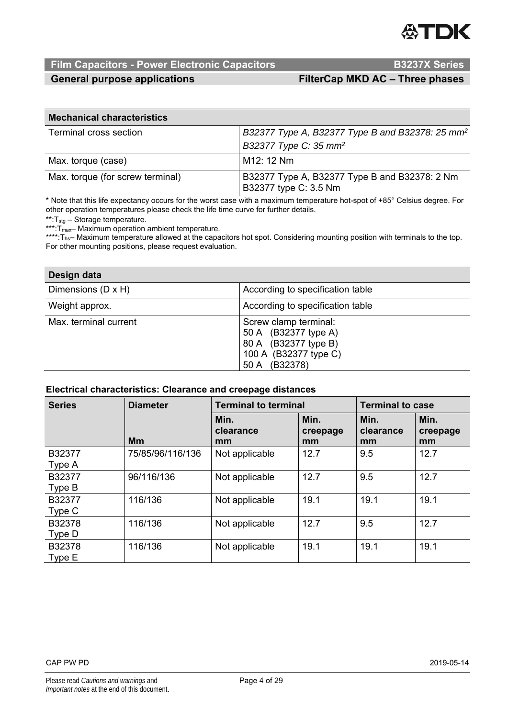

# **Film Capacitors - Power Electronic Capacitors <br>B3237X Series**

General purpose applications **FilterCap MKD AC – Three phases** 

| <b>Mechanical characteristics</b> |                                                                        |  |  |  |  |  |  |
|-----------------------------------|------------------------------------------------------------------------|--|--|--|--|--|--|
| Terminal cross section            | B32377 Type A, B32377 Type B and B32378: 25 mm <sup>2</sup>            |  |  |  |  |  |  |
|                                   | B32377 Type C: 35 mm <sup>2</sup>                                      |  |  |  |  |  |  |
| Max. torque (case)                | M12: 12 Nm                                                             |  |  |  |  |  |  |
| Max. torque (for screw terminal)  | B32377 Type A, B32377 Type B and B32378: 2 Nm<br>B32377 type C: 3.5 Nm |  |  |  |  |  |  |

\* Note that this life expectancy occurs for the worst case with a maximum temperature hot-spot of +85° Celsius degree. For other operation temperatures please check the life time curve for further details.

\*\*:Tstg – Storage temperature.

\*\*\*: T<sub>max</sub>– Maximum operation ambient temperature.

\*\*\*\*: T<sub>hs</sub>– Maximum temperature allowed at the capacitors hot spot. Considering mounting position with terminals to the top. For other mounting positions, please request evaluation.

| Design data           |                                                                                                                    |
|-----------------------|--------------------------------------------------------------------------------------------------------------------|
| Dimensions (D x H)    | According to specification table                                                                                   |
| Weight approx.        | According to specification table                                                                                   |
| Max. terminal current | Screw clamp terminal:<br>50 A (B32377 type A)<br>80 A (B32377 type B)<br>100 A (B32377 type C)<br>(B32378)<br>50 A |

#### **Electrical characteristics: Clearance and creepage distances**

| <b>Series</b>    | <b>Diameter</b>  | <b>Terminal to terminal</b> |                        | <b>Terminal to case</b> |                        |  |
|------------------|------------------|-----------------------------|------------------------|-------------------------|------------------------|--|
|                  | <b>Mm</b>        | Min.<br>clearance<br>mm     | Min.<br>creepage<br>mm | Min.<br>clearance<br>mm | Min.<br>creepage<br>mm |  |
| B32377<br>Type A | 75/85/96/116/136 | Not applicable              | 12.7                   | 9.5                     | 12.7                   |  |
| B32377<br>Type B | 96/116/136       | Not applicable              | 12.7                   | 9.5                     | 12.7                   |  |
| B32377<br>Type C | 116/136          | Not applicable              | 19.1                   | 19.1                    | 19.1                   |  |
| B32378<br>Type D | 116/136          | Not applicable              | 12.7                   | 9.5                     | 12.7                   |  |
| B32378<br>Type E | 116/136          | Not applicable              | 19.1                   | 19.1                    | 19.1                   |  |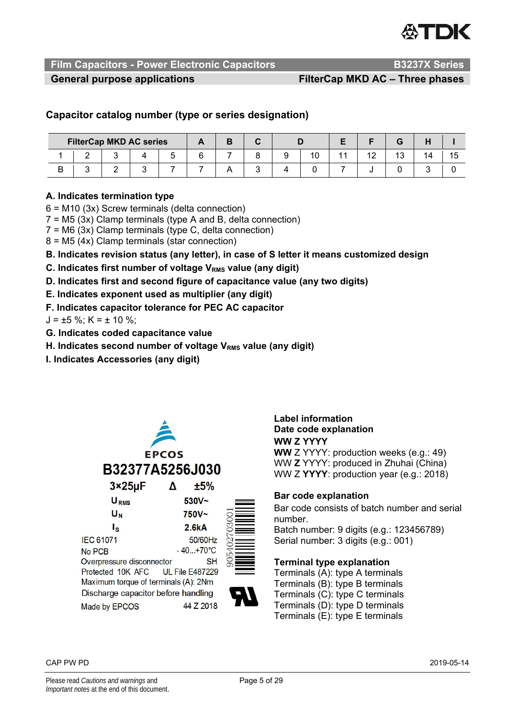

**Film Capacitors - Power Electronic Capacitors Access Access R53237X Series** 

General purpose applications **FilterCap MKD AC – Three phases** 

### **Capacitor catalog number (type or series designation)**

|   |  | <b>FilterCap MKD AC series</b> |  |  |  |  |    |  |  |  |
|---|--|--------------------------------|--|--|--|--|----|--|--|--|
|   |  |                                |  |  |  |  | ιu |  |  |  |
| ◡ |  |                                |  |  |  |  |    |  |  |  |

#### **A. Indicates termination type**

6 = M10 (3x) Screw terminals (delta connection)

 $7 = M5$  (3x) Clamp terminals (type A and B, delta connection)

 $7 = M6$  (3x) Clamp terminals (type C, delta connection)

8 = M5 (4x) Clamp terminals (star connection)

**B. Indicates revision status (any letter), in case of S letter it means customized design** 

**C. Indicates first number of voltage V<sub>RMS</sub> value (any digit)** 

**D. Indicates first and second figure of capacitance value (any two digits)** 

- **E. Indicates exponent used as multiplier (any digit)**
- **F. Indicates capacitor tolerance for PEC AC capacitor**

 $J = \pm 5$  %; K =  $\pm$  10 %;

- **G. Indicates coded capacitance value**
- **H. Indicates second number of voltage V<sub>RMS</sub> value (any digit)**
- **I. Indicates Accessories (any digit)**



#### **Label information Date code explanation WW Z YYYY**

**WW** Z YYYY: production weeks (e.g.: 49) WW **Z** YYYY: produced in Zhuhai (China) WW Z **YYYY**: production year (e.g.: 2018)

#### **Bar code explanation**

Bar code consists of batch number and serial number. Batch number: 9 digits (e.g.: 123456789)

Serial number: 3 digits (e.g.: 001)

#### **Terminal type explanation**

Terminals (A): type A terminals Terminals (B): type B terminals Terminals (C): type C terminals Terminals (D): type D terminals Terminals (E): type E terminals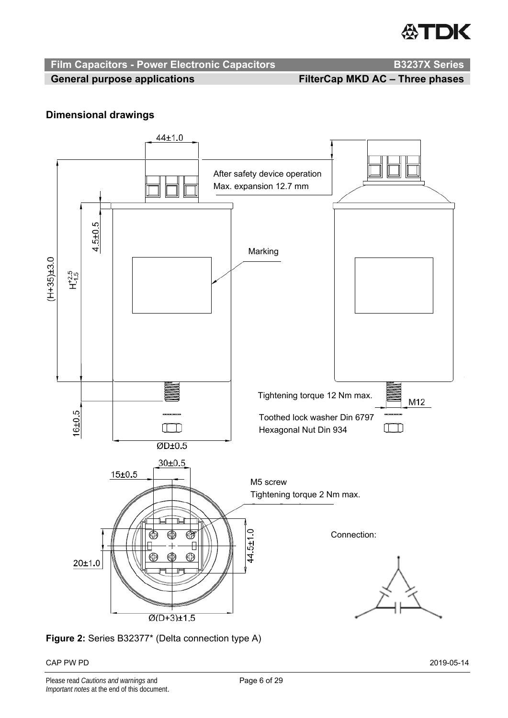

# **Film Capacitors - Power Electronic Capacitors <br>B3237X Series**

General purpose applications **FilterCap MKD AC – Three phases** 

## **Dimensional drawings**



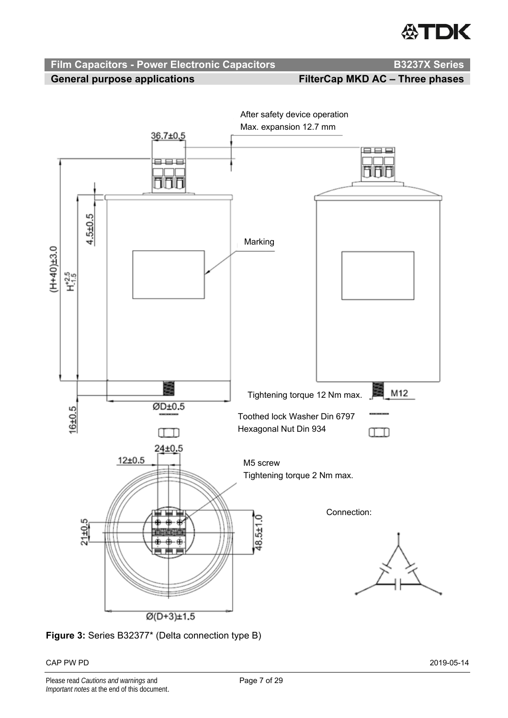# **公TDK**

# **Film Capacitors - Power Electronic Capacitors <br>B3237X Series**

General purpose applications **FilterCap MKD AC – Three phases** 



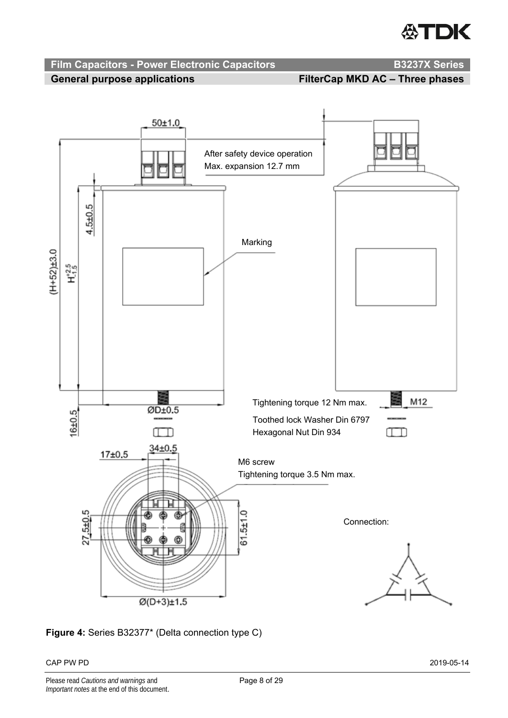# **ATDK**



**Figure 4:** Series B32377\* (Delta connection type C)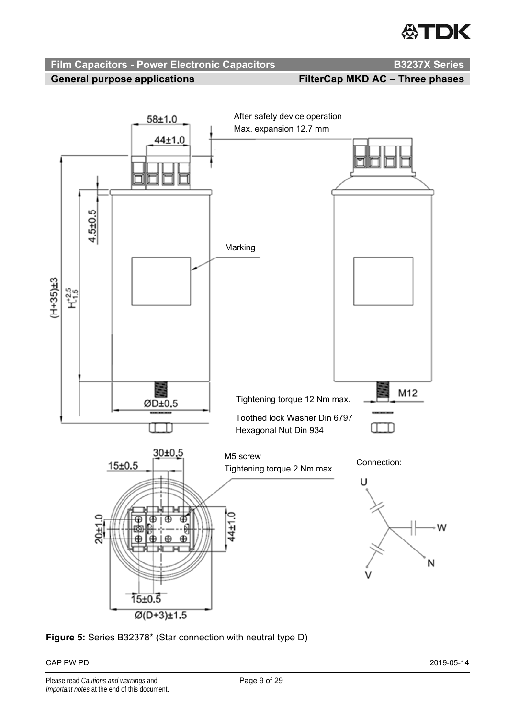# **ATDK**

# **Film Capacitors - Power Electronic Capacitors Manual Canadian B3237X Series**





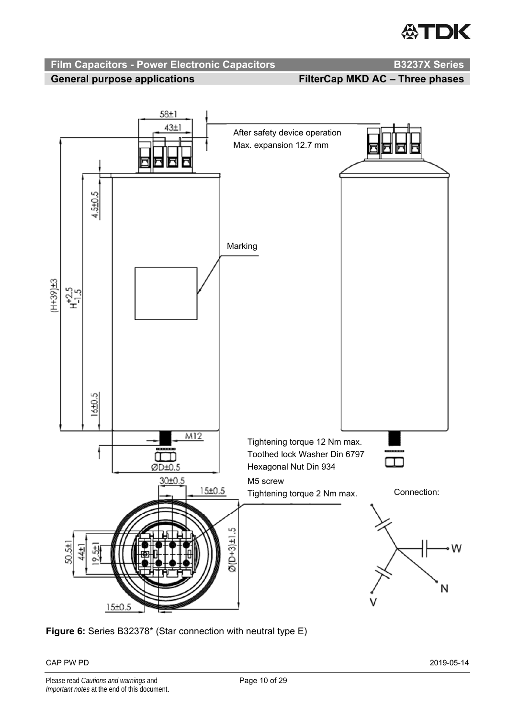

**Film Capacitors - Power Electronic Capacitors Mateurs Advantage R53237X Series** 





**Figure 6:** Series B32378\* (Star connection with neutral type E)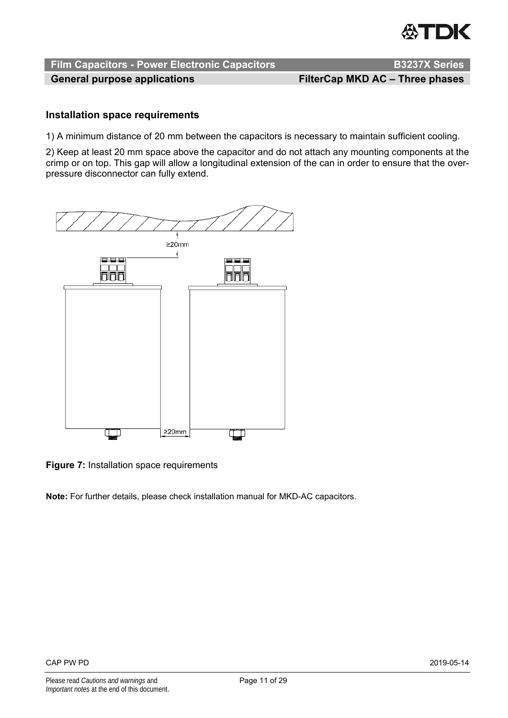

General purpose applications **FilterCap MKD AC – Three phases** 

#### **Installation space requirements**

1) A minimum distance of 20 mm between the capacitors is necessary to maintain sufficient cooling.

2) Keep at least 20 mm space above the capacitor and do not attach any mounting components at the crimp or on top. This gap will allow a longitudinal extension of the can in order to ensure that the overpressure disconnector can fully extend.



**Figure 7:** Installation space requirements

**Note:** For further details, please check installation manual for MKD-AC capacitors.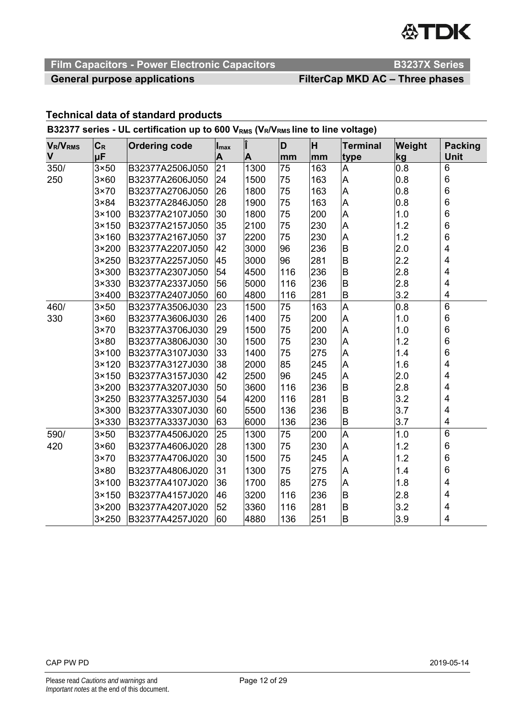

# **Film Capacitors - Power Electronic Capacitors Access Access B3237X Series**

## General purpose applications **FilterCap MKD AC – Three phases**

### **Technical data of standard products**

### B32377 series - UL certification up to 600 V<sub>RMS</sub> (VR/VRMs line to line voltage)

| <b>V<sub>R</sub>/V<sub>RMS</sub></b> | $C_R$          | <b>Ordering code</b> | $\mathsf{I}_{\textsf{max}}$ | Î    | D   | lн  | <b>Terminal</b>         | Weight | <b>Packing</b>          |
|--------------------------------------|----------------|----------------------|-----------------------------|------|-----|-----|-------------------------|--------|-------------------------|
| V                                    | μF             |                      | A                           | A    | mm  | mm  | type                    | kg     | Unit                    |
| 350/                                 | $3 \times 50$  | B32377A2506J050      | 21                          | 1300 | 75  | 163 | A                       | 0.8    | 6                       |
| 250                                  | $3\times60$    | B32377A2606J050      | 24                          | 1500 | 75  | 163 | A                       | 0.8    | 6                       |
|                                      | $3\times70$    | B32377A2706J050      | 26                          | 1800 | 75  | 163 | A                       | 0.8    | $\,6$                   |
|                                      | $3 \times 84$  | B32377A2846J050      | 28                          | 1900 | 75  | 163 | A                       | 0.8    | $\,6$                   |
|                                      | 3×100          | B32377A2107J050      | 30                          | 1800 | 75  | 200 | A                       | 1.0    | 6                       |
|                                      | 3×150          | B32377A2157J050      | 35                          | 2100 | 75  | 230 | A                       | 1.2    | $\,6$                   |
|                                      | 3×160          | B32377A2167J050      | 37                          | 2200 | 75  | 230 | A                       | 1.2    | $\,6$                   |
|                                      | 3×200          | B32377A2207J050      | 42                          | 3000 | 96  | 236 | B                       | 2.0    | $\overline{\mathbf{4}}$ |
|                                      | 3×250          | B32377A2257J050      | 45                          | 3000 | 96  | 281 | B                       | 2.2    | 4                       |
|                                      | 3×300          | B32377A2307J050      | 54                          | 4500 | 116 | 236 | B                       | 2.8    | 4                       |
|                                      | 3×330          | B32377A2337J050      | 56                          | 5000 | 116 | 236 | B                       | 2.8    | $\overline{\mathbf{4}}$ |
|                                      | 3×400          | B32377A2407J050      | 60                          | 4800 | 116 | 281 | B                       | 3.2    | 4                       |
| 460/                                 | $3\times50$    | B32377A3506J030      | 23                          | 1500 | 75  | 163 | $\overline{\mathsf{A}}$ | 0.8    | 6                       |
| 330                                  | 3×60           | B32377A3606J030      | 26                          | 1400 | 75  | 200 | A                       | 1.0    | 6                       |
|                                      | $3\times70$    | B32377A3706J030      | 29                          | 1500 | 75  | 200 | A                       | 1.0    | 6                       |
|                                      | $3 \times 80$  | B32377A3806J030      | 30                          | 1500 | 75  | 230 | A                       | 1.2    | $\,6$                   |
|                                      | 3×100          | B32377A3107J030      | 33                          | 1400 | 75  | 275 | A                       | 1.4    | $\,6$                   |
|                                      | 3×120          | B32377A3127J030      | 38                          | 2000 | 85  | 245 | A                       | 1.6    | $\overline{\mathbf{4}}$ |
|                                      | $3 \times 150$ | B32377A3157J030      | 42                          | 2500 | 96  | 245 | A                       | 2.0    | 4                       |
|                                      | 3×200          | B32377A3207J030      | 50                          | 3600 | 116 | 236 | B                       | 2.8    | $\overline{\mathbf{4}}$ |
|                                      | 3×250          | B32377A3257J030      | 54                          | 4200 | 116 | 281 | B                       | 3.2    | 4                       |
|                                      | 3×300          | B32377A3307J030      | 60                          | 5500 | 136 | 236 | B                       | 3.7    | $\overline{\mathbf{4}}$ |
|                                      | 3×330          | B32377A3337J030      | 63                          | 6000 | 136 | 236 | B                       | 3.7    | 4                       |
| 590/                                 | $3\times50$    | B32377A4506J020      | 25                          | 1300 | 75  | 200 | A                       | 1.0    | 6                       |
| 420                                  | $3\times60$    | B32377A4606J020      | 28                          | 1300 | 75  | 230 | A                       | 1.2    | 6                       |
|                                      | $3\times70$    | B32377A4706J020      | 30                          | 1500 | 75  | 245 | A                       | 1.2    | 6                       |
|                                      | $3 \times 80$  | B32377A4806J020      | 31                          | 1300 | 75  | 275 | A                       | 1.4    | 6                       |
|                                      | 3×100          | B32377A4107J020      | 36                          | 1700 | 85  | 275 | A                       | 1.8    | 4                       |
|                                      | $3 \times 150$ | B32377A4157J020      | 46                          | 3200 | 116 | 236 | B                       | 2.8    | 4                       |
|                                      | 3×200          | B32377A4207J020      | 52                          | 3360 | 116 | 281 | B                       | 3.2    | 4                       |
|                                      | 3×250          | B32377A4257J020      | 60                          | 4880 | 136 | 251 | B                       | 3.9    | 4                       |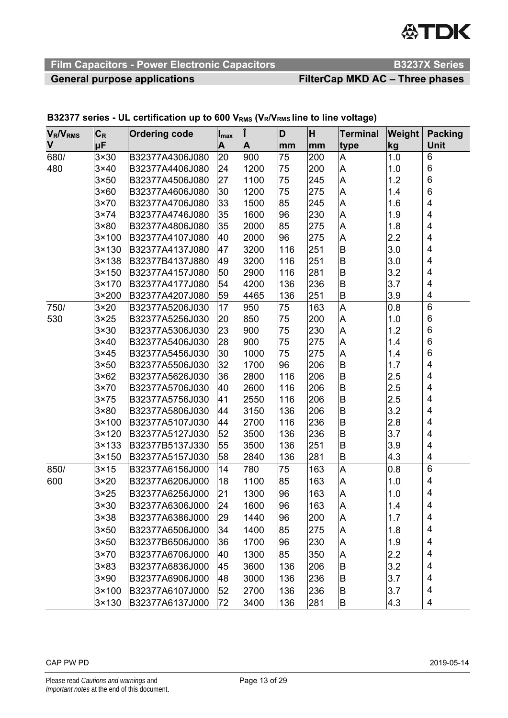# **公TDK**

# **Film Capacitors - Power Electronic Capacitors Access Access B3237X Series**

# General purpose applications **FilterCap MKD AC – Three phases**

| <b>V<sub>R</sub>/V<sub>RMS</sub></b> | $C_R$          | <b>Ordering code</b> | $\mathsf{I}_{\mathsf{max}}$ | Î                | D   | H   | <b>Terminal</b> | Weight | <b>Packing</b>          |
|--------------------------------------|----------------|----------------------|-----------------------------|------------------|-----|-----|-----------------|--------|-------------------------|
| $\mathsf{V}$                         | μF             |                      | A                           | $\blacktriangle$ | mm  | mm  | type            | kg     | <b>Unit</b>             |
| 680/                                 | $3\times30$    | B32377A4306J080      | 20                          | 900              | 75  | 200 | A               | 1.0    | 6                       |
| 480                                  | $3\times40$    | B32377A4406J080      | 24                          | 1200             | 75  | 200 | A               | 1.0    | 6                       |
|                                      | $3\times50$    | B32377A4506J080      | 27                          | 1100             | 75  | 245 | A               | 1.2    | $\,6$                   |
|                                      | $3\times60$    | B32377A4606J080      | 30                          | 1200             | 75  | 275 | A               | 1.4    | 6                       |
|                                      | $3\times 70$   | B32377A4706J080      | 33                          | 1500             | 85  | 245 | Α               | 1.6    | 4                       |
|                                      | $3\times 74$   | B32377A4746J080      | 35                          | 1600             | 96  | 230 | A               | 1.9    | 4                       |
|                                      | $3 \times 80$  | B32377A4806J080      | 35                          | 2000             | 85  | 275 | Α               | 1.8    | 4                       |
|                                      | $3 \times 100$ | B32377A4107J080      | 40                          | 2000             | 96  | 275 | A               | 2.2    | 4                       |
|                                      | $3 \times 130$ | B32377A4137J080      | 47                          | 3200             | 116 | 251 | B               | 3.0    | 4                       |
|                                      | $3 \times 138$ | B32377B4137J880      | 49                          | 3200             | 116 | 251 | B               | 3.0    | 4                       |
|                                      | $3 \times 150$ | B32377A4157J080      | 50                          | 2900             | 116 | 281 | B               | 3.2    | 4                       |
|                                      | $3 \times 170$ | B32377A4177J080      | 54                          | 4200             | 136 | 236 | B               | 3.7    | 4                       |
|                                      | $3\times 200$  | B32377A4207J080      | 59                          | 4465             | 136 | 251 | B               | 3.9    | 4                       |
| 750/                                 | $3 \times 20$  | B32377A5206J030      | 17                          | 950              | 75  | 163 | A               | 0.8    | $\,6$                   |
| 530                                  | $3\times 25$   | B32377A5256J030      | 20                          | 850              | 75  | 200 | A               | 1.0    | $6\phantom{1}6$         |
|                                      | $3\times30$    | B32377A5306J030      | 23                          | 900              | 75  | 230 | A               | 1.2    | $6\phantom{1}6$         |
|                                      | $3\times40$    | B32377A5406J030      | 28                          | 900              | 75  | 275 | Α               | 1.4    | 6                       |
|                                      | $3\times 45$   | B32377A5456J030      | 30                          | 1000             | 75  | 275 | A               | 1.4    | 6                       |
|                                      | $3 \times 50$  | B32377A5506J030      | 32                          | 1700             | 96  | 206 | B               | 1.7    | $\overline{\mathbf{4}}$ |
|                                      | $3\times 62$   | B32377A5626J030      | 36                          | 2800             | 116 | 206 | B               | 2.5    | 4                       |
|                                      | $3\times 70$   | B32377A5706J030      | 40                          | 2600             | 116 | 206 | B               | 2.5    | 4                       |
|                                      | $3\times 75$   | B32377A5756J030      | 41                          | 2550             | 116 | 206 | B               | 2.5    | 4                       |
|                                      | $3 \times 80$  | B32377A5806J030      | 44                          | 3150             | 136 | 206 | B               | 3.2    | 4                       |
|                                      | $3 \times 100$ | B32377A5107J030      | 44                          | 2700             | 116 | 236 | B               | 2.8    | 4                       |
|                                      | $3 \times 120$ | B32377A5127J030      | 52                          | 3500             | 136 | 236 | B               | 3.7    | 4                       |
|                                      | $3 \times 133$ | B32377B5137J330      | 55                          | 3500             | 136 | 251 | B               | 3.9    | 4                       |
|                                      | $3 \times 150$ | B32377A5157J030      | 58                          | 2840             | 136 | 281 | B               | 4.3    | 4                       |
| 850/                                 | $3 \times 15$  | B32377A6156J000      | 14                          | 780              | 75  | 163 | A               | 0.8    | $\,6$                   |
| 600                                  | $3 \times 20$  | B32377A6206J000      | 18                          | 1100             | 85  | 163 | Α               | 1.0    | 4                       |
|                                      | $3\times 25$   | B32377A6256J000      | 21                          | 1300             | 96  | 163 | Α               | 1.0    | 4                       |
|                                      | $3 \times 30$  | B32377A6306J000      | 24                          | 1600             | 96  | 163 | A               | 1.4    | 4                       |
|                                      | $3\times38$    | B32377A6386J000      | 29                          | 1440             | 96  | 200 | A               | 1.7    | 4                       |
|                                      | $3\times50$    | B32377A6506J000      | 34                          | 1400             | 85  | 275 | A               | 1.8    | 4                       |
|                                      | $3 \times 50$  | B32377B6506J000      | 36                          | 1700             | 96  | 230 | Α               | 1.9    | 4                       |
|                                      | $3\times70$    | B32377A6706J000      | 40                          | 1300             | 85  | 350 | Α               | 2.2    | 4                       |
|                                      | $3\times83$    | B32377A6836J000      | 45                          | 3600             | 136 | 206 | B               | 3.2    | 4                       |
|                                      | $3 \times 90$  | B32377A6906J000      | 48                          | 3000             | 136 | 236 | B               | 3.7    | 4                       |
|                                      | $3 \times 100$ | B32377A6107J000      | 52                          | 2700             | 136 | 236 | B               | 3.7    | 4                       |
|                                      | $3 \times 130$ | B32377A6137J000      | 72                          | 3400             | 136 | 281 | B               | 4.3    | 4                       |

### **B32377 series - UL certification up to 600 V<sub>RMS</sub> (V<sub>R</sub>/V<sub>RMS</sub> line to line voltage)**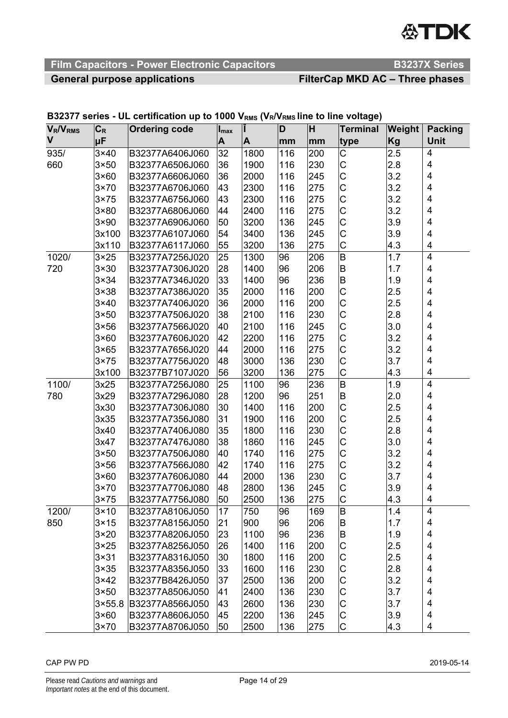# **ATDK**

# **Film Capacitors - Power Electronic Capacitors <br>B3237X Series**

# General purpose applications **FilterCap MKD AC – Three phases**

#### **VR/VRMS V CR Ordering code Imax Î D H Terminal Weight Packing μF | |A |A |mm |mm |type |Kg | Unit** 935/ 3×40 B32377A6406J060 32 1800 116 200 C 2.5 4 660 3×50 B32377A6506J060 36 1900 116 230 C 2.8 4 3×60 B32377A6606J060 36 2000 116 245 C 3.2 4 3×70 B32377A6706J060 43 2300 116 275 C 3.2 4 3×75 B32377A6756J060 43 2300 116 275 C 3.2 4 3×80 B32377A6806J060 44 2400 116 275 C 3.2 4 3×90 B32377A6906J060 50 3200 136 245 C 3.9 4 3x100 B32377A6107J060 54 3400 136 245 C 3.9 4 3x110 B32377A6117J060 55 3200 136 275 C 4.3 4 1020/ 3×25 B32377A7256J020 25 1300 96 206 B 1.7 4 720 3×30 B32377A7306J020 28 1400 96 206 B 1.7 4 3×34 B32377A7346J020 33 1400 96 236 B 1.9 4 3×38 B32377A7386J020 35 2000 116 200 C 2.5 4 3×40 B32377A7406J020 36 2000 116 200 C 2.5 4 3×50 B32377A7506J020 38 2100 116 230 C 2.8 4 3×56 B32377A7566J020 40 2100 116 245 C 3.0 4 |3×60 ||B32377A7606J020 |42 ||2200 ||116 ||275 ||C ||3.2 || 4 3×65 B32377A7656J020 44 2000 116 275 C 3.2 4 3×75 B32377A7756J020 48 3000 136 230 C 3.7 4 3x100 B32377B7107J020 56 3200 136 275 C 4.3 4 1100/ 3x25 B32377A7256J080 25 1100 96 236 B 1.9 1.9 780 3x29 B32377A7296J080 28 1200 96 251 B 2.0 4 3x30 B32377A7306J080 30 1400 116 200 C 2.5 4 |3x35 ||B32377A7356J080 ||31 ||1900 ||116 ||200 ||C ||2.5 || 4 3x40 B32377A7406J080 35 1800 116 230 C 2.8 4 3x47 B32377A7476J080 38 1860 116 245 C 3.0 4 3×50 B32377A7506J080 40 1740 116 275 C 3.2 4 3×56 B32377A7566J080 42 1740 116 275 C 3.2 4 3×60 B32377A7606J080 44 2000 136 230 C 3.7 4 3×70 B32377A7706J080 48 2800 136 245 C 3.9 4 3×75 B32377A7756J080 50 2500 136 275 C 4.3 | 4 1200/ 3×10 B32377A8106J050 17 750 96 169 B 1.4 4 850 3×15 B32377A8156J050 21 900 96 206 B 1.7 4 3×20 B32377A8206J050 23 1100 96 236 B 1.9 4 3×25 B32377A8256J050 26 1400 116 200 C 2.5 4<br>3×31 B32377A8316J050 30 1800 116 200 C 2.5 4 3×31 B32377A8316J050 30 1800 116 200 C 2.5 4 3×35 B32377A8356J050 33 1600 116 230 C 2.8 4 3×42 B32377B8426J050 37 2500 136 200 C 3.2 4 |3×50 |B32377A8506J050 |41 |2400 |136 |230 |C |3.7 | 4 3×55.8 B32377A8566J050 43 2600 136 230 C 3.7 4 3×60 B32377A8606J050 45 2200 136 245 C 3.9 4 3×70 B32377A8706J050 50 2500 136 275 C 4.3 4

#### B32377 series - UL certification up to 1000 V<sub>RMS</sub> (VR/VRMS line to line voltage)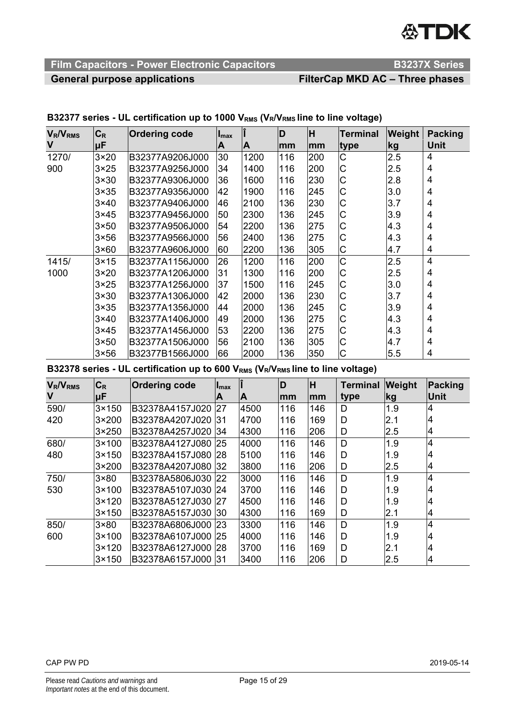# **公TDK**

# **Film Capacitors - Power Electronic Capacitors <br>B3237X Series**

# General purpose applications **FilterCap MKD AC – Three phases**

| <b>V<sub>R</sub>/V<sub>RMS</sub></b> | $C_R$        | <b>Ordering code</b> | $I_{\text{max}}$ |      | D   | lΗ  | Terminal    | <b>Weight</b> | Packing        |
|--------------------------------------|--------------|----------------------|------------------|------|-----|-----|-------------|---------------|----------------|
| V                                    | μF           |                      | A                | A    | mm  | mm  | ∣type       | kg            | Unit           |
| 1270/                                | $3\times20$  | B32377A9206J000      | 30               | 1200 | 116 | 200 | $\mathsf C$ | 2.5           | 4              |
| 900                                  | $3\times 25$ | B32377A9256J000      | 34               | 1400 | 116 | 200 | $\mathsf C$ | 2.5           | 4              |
|                                      | $3\times30$  | B32377A9306J000      | 36               | 1600 | 116 | 230 | C           | 2.8           | 4              |
|                                      | $3\times35$  | B32377A9356J000      | 42               | 1900 | 116 | 245 | $\mathsf C$ | 3.0           | 4              |
|                                      | $3\times40$  | B32377A9406J000      | 46               | 2100 | 136 | 230 | C           | 3.7           | 4              |
|                                      | $3\times 45$ | B32377A9456J000      | 50               | 2300 | 136 | 245 | C           | 3.9           | 4              |
|                                      | $3\times50$  | B32377A9506J000      | 54               | 2200 | 136 | 275 | C           | 4.3           | 4              |
|                                      | $3\times 56$ | B32377A9566J000      | 56               | 2400 | 136 | 275 | C           | 4.3           | 4              |
|                                      | $3\times 60$ | B32377A9606J000      | 60               | 2200 | 136 | 305 | $\mathsf C$ | 4.7           | 4              |
| 1415/                                | $3\times 15$ | B32377A1156J000      | 26               | 1200 | 116 | 200 | C           | 2.5           | $\overline{4}$ |
| 1000                                 | $3\times20$  | B32377A1206J000      | 31               | 1300 | 116 | 200 | $\mathsf C$ | 2.5           | 4              |
|                                      | $3\times 25$ | B32377A1256J000      | 37               | 1500 | 116 | 245 | $\mathsf C$ | 3.0           | 4              |
|                                      | $3\times30$  | B32377A1306J000      | 42               | 2000 | 136 | 230 | $\mathsf C$ | 3.7           | 4              |
|                                      | $3\times35$  | B32377A1356J000      | 44               | 2000 | 136 | 245 | C           | 3.9           | 4              |
|                                      | $3\times40$  | B32377A1406J000      | 49               | 2000 | 136 | 275 | C           | 4.3           | 4              |
|                                      | $3\times 45$ | B32377A1456J000      | 53               | 2200 | 136 | 275 | C           | 4.3           | 4              |
|                                      | $3\times50$  | B32377A1506J000      | 56               | 2100 | 136 | 305 | C           | 4.7           | 4              |
|                                      | $3\times 56$ | B32377B1566J000      | 66               | 2000 | 136 | 350 | C           | 5.5           | 4              |

#### B32377 series - UL certification up to 1000 V<sub>RMS</sub> (V<sub>R</sub>/V<sub>RMS</sub> line to line voltage)

B32378 series - UL certification up to 600 V<sub>RMS</sub> (V<sub>R</sub>/V<sub>RMS</sub> line to line voltage)

| $V_R/V_{RMS}$ | $C_R$          | <b>Ordering code</b> | $I_{\text{max}}$ |      | D   | lH. | <b>Terminal</b> | <b>Weight</b> | Packing |
|---------------|----------------|----------------------|------------------|------|-----|-----|-----------------|---------------|---------|
| V             | <b>uF</b>      |                      | A                | ΙA   | lmm | mm  | type            | kg            | Unit    |
| 590/          | $3 \times 150$ | B32378A4157J020      | 27               | 4500 | 116 | 146 | D               | 1.9           |         |
| 420           | $3\times 200$  | B32378A4207J020      | -131             | 4700 | 116 | 169 | D               | 2.1           | 4       |
|               | 3×250          | B32378A4257J020      | <b>134</b>       | 4300 | 116 | 206 | D               | 2.5           | 14      |
| 680/          | $3 \times 100$ | B32378A4127J080      | 25               | 4000 | 116 | 146 | D               | 1.9           | 4       |
| 480           | $3 \times 150$ | B32378A4157J080      | 28               | 5100 | 116 | 146 | D               | 1.9           | 4       |
|               | $3\times 200$  | B32378A4207J080      | 32               | 3800 | 116 | 206 | D               | 2.5           | 14      |
| 750/          | $3 \times 80$  | B32378A5806J030      | <b>22</b>        | 3000 | 116 | 146 | D               | 1.9           | 4       |
| 530           | $3 \times 100$ | B32378A5107J030 24   |                  | 3700 | 116 | 146 | D               | 1.9           |         |
|               | l3×120         | IB32378A5127J030     | 127              | 4500 | 116 | 146 | D               | 1.9           | 4       |
|               | $3 \times 150$ | B32378A5157J030      | <b>130</b>       | 4300 | 116 | 169 | D               | 2.1           | 14      |
| 850/          | $3 \times 80$  | B32378A6806J000 23   |                  | 3300 | 116 | 146 | D               | 1.9           | 4       |
| 600           | 3×100          | B32378A6107J000      | 25               | 4000 | 116 | 146 | D               | 1.9           | 4       |
|               | $3 \times 120$ | B32378A6127J000      | 28               | 3700 | 116 | 169 | D               | 2.1           | 4       |
|               | $3 \times 150$ | B32378A6157J000 31   |                  | 3400 | 116 | 206 | D               | 2.5           | 14      |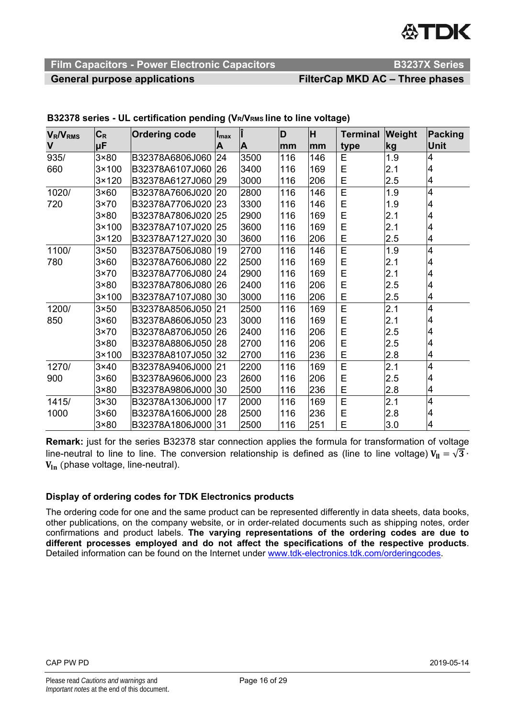# **ASTIDIK**

## **Film Capacitors - Power Electronic Capacitors Manual Canadian B3237X Series**

# General purpose applications **FilterCap MKD AC – Three phases**

| <b>V<sub>R</sub>/V<sub>RMS</sub></b> | $C_R$          | <b>Ordering code</b> | $\mathsf{I}_{\text{max}}$ |      | D   | lн  | <b>Terminal</b> | Weight | <b>Packing</b> |
|--------------------------------------|----------------|----------------------|---------------------------|------|-----|-----|-----------------|--------|----------------|
| $\mathsf{V}$                         | μF             |                      | A                         | A    | lmm | lmm | type            | kg     | <b>Unit</b>    |
| 935/                                 | $3 \times 80$  | B32378A6806J060      | 24                        | 3500 | 116 | 146 | E               | 1.9    | 4              |
| 660                                  | $3 \times 100$ | B32378A6107J060      | 26                        | 3400 | 116 | 169 | E               | 2.1    | 4              |
|                                      | $3 \times 120$ | B32378A6127J060      | 29                        | 3000 | 116 | 206 | E               | 2.5    | 4              |
| 1020/                                | $3\times60$    | B32378A7606J020      | 120                       | 2800 | 116 | 146 | E               | 1.9    | 4              |
| 720                                  | $3\times70$    | B32378A7706J020 23   |                           | 3300 | 116 | 146 | E               | 1.9    | 4              |
|                                      | $3 \times 80$  | B32378A7806J020 25   |                           | 2900 | 116 | 169 | E               | 2.1    | 4              |
|                                      | $3 \times 100$ | B32378A7107J020      | 25                        | 3600 | 116 | 169 | E               | 2.1    | 4              |
|                                      | $3 \times 120$ | B32378A7127J020      | $ 30\rangle$              | 3600 | 116 | 206 | E               | 2.5    | 4              |
| 1100/                                | $3\times50$    | B32378A7506J080      | 19                        | 2700 | 116 | 146 | E               | 1.9    | 4              |
| 780                                  | $3\times60$    | B32378A7606J080 22   |                           | 2500 | 116 | 169 | Е               | 2.1    | 4              |
|                                      | $3\times70$    | B32378A7706J080      | 24                        | 2900 | 116 | 169 | E               | 2.1    | 4              |
|                                      | $3 \times 80$  | B32378A7806J080 26   |                           | 2400 | 116 | 206 | E               | 2.5    | 4              |
|                                      | $3 \times 100$ | B32378A7107J080 30   |                           | 3000 | 116 | 206 | E               | 2.5    | 4              |
| 1200/                                | $3\times50$    | B32378A8506J050      | 21                        | 2500 | 116 | 169 | E               | 2.1    | 4              |
| 850                                  | $3\times60$    | B32378A8606J050 23   |                           | 3000 | 116 | 169 | Е               | 2.1    | 4              |
|                                      | $3\times70$    | B32378A8706J050      | <b>26</b>                 | 2400 | 116 | 206 | E               | 2.5    | 4              |
|                                      | $3 \times 80$  | B32378A8806J050 28   |                           | 2700 | 116 | 206 | E               | 2.5    | 4              |
|                                      | $3 \times 100$ | B32378A8107J050      | 32                        | 2700 | 116 | 236 | E               | 2.8    | 4              |
| 1270/                                | $3\times40$    | B32378A9406J000 21   |                           | 2200 | 116 | 169 | E               | 2.1    | 4              |
| 900                                  | $3\times60$    | B32378A9606J000      | 23                        | 2600 | 116 | 206 | E               | 2.5    | 4              |
|                                      | $3 \times 80$  | B32378A9806J000 30   |                           | 2500 | 116 | 236 | E               | 2.8    | 4              |
| 1415/                                | $3\times30$    | B32378A1306J000      | 17                        | 2000 | 116 | 169 | E               | 2.1    | 4              |
| 1000                                 | $3\times60$    | B32378A1606J000      | 28                        | 2500 | 116 | 236 | E               | 2.8    | 4              |
|                                      | $3 \times 80$  | B32378A1806J000 31   |                           | 2500 | 116 | 251 | E               | 3.0    | 4              |

#### **B32378 series - UL certification pending (VR/VRMS line to line voltage)**

**Remark:** just for the series B32378 star connection applies the formula for transformation of voltage line-neutral to line to line. The conversion relationship is defined as (line to line voltage)  $V_{II} = \sqrt{3} \cdot$  $V_{\text{ln}}$  (phase voltage, line-neutral).

#### **Display of ordering codes for TDK Electronics products**

The ordering code for one and the same product can be represented differently in data sheets, data books, other publications, on the company website, or in order-related documents such as shipping notes, order confirmations and product labels. **The varying representations of the ordering codes are due to different processes employed and do not affect the specifications of the respective products**. Detailed information can be found on the Internet under www.tdk-electronics.tdk.com/orderingcodes.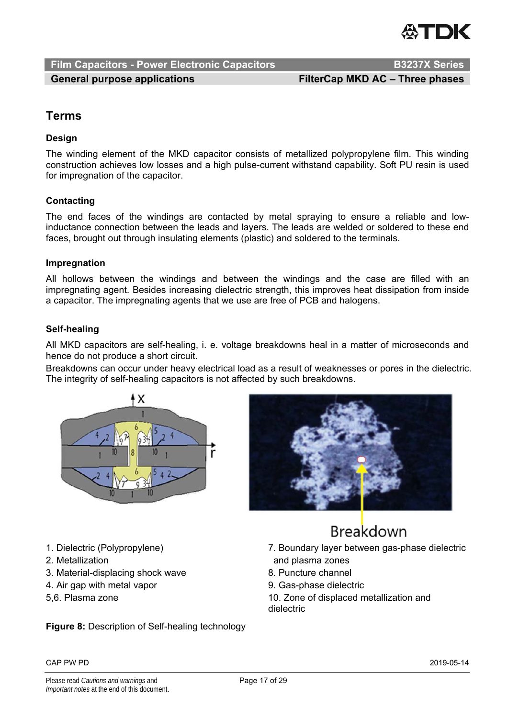

**Film Capacitors - Power Electronic Capacitors <br>B3237X Series** 

# General purpose applications **FilterCap MKD AC – Three phases**

# **Terms**

#### **Design**

The winding element of the MKD capacitor consists of metallized polypropylene film. This winding construction achieves low losses and a high pulse-current withstand capability. Soft PU resin is used for impregnation of the capacitor.

#### **Contacting**

The end faces of the windings are contacted by metal spraying to ensure a reliable and lowinductance connection between the leads and layers. The leads are welded or soldered to these end faces, brought out through insulating elements (plastic) and soldered to the terminals.

#### **Impregnation**

All hollows between the windings and between the windings and the case are filled with an impregnating agent. Besides increasing dielectric strength, this improves heat dissipation from inside a capacitor. The impregnating agents that we use are free of PCB and halogens.

#### **Self-healing**

All MKD capacitors are self-healing, i. e. voltage breakdowns heal in a matter of microseconds and hence do not produce a short circuit.

Breakdowns can occur under heavy electrical load as a result of weaknesses or pores in the dielectric. The integrity of self-healing capacitors is not affected by such breakdowns.





- 1. Dielectric (Polypropylene)
- 2. Metallization
- 3. Material-displacing shock wave
- 4. Air gap with metal vapor
- 5,6. Plasma zone

**Figure 8:** Description of Self-healing technology

# Breakdown

- 7. Boundary layer between gas-phase dielectric and plasma zones
- 8. Puncture channel
- 9. Gas-phase dielectric
- 10. Zone of displaced metallization and dielectric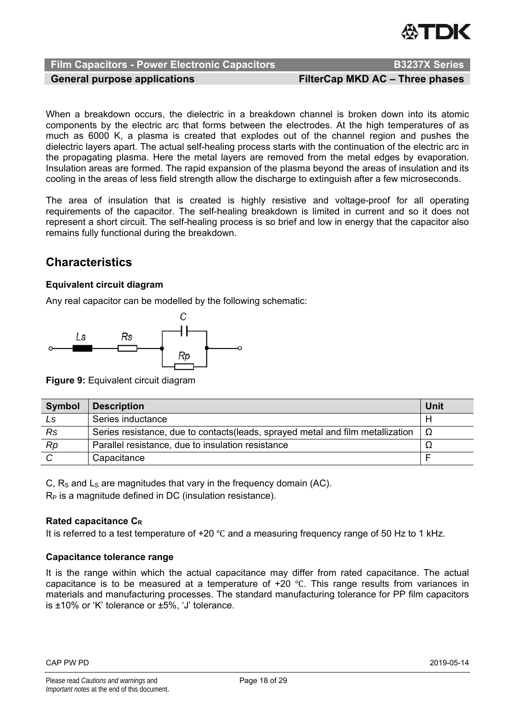

**Film Capacitors - Power Electronic Capacitors Mateur Advantage R5237X Series** 

General purpose applications **FilterCap MKD AC – Three phases** 

When a breakdown occurs, the dielectric in a breakdown channel is broken down into its atomic components by the electric arc that forms between the electrodes. At the high temperatures of as much as 6000 K, a plasma is created that explodes out of the channel region and pushes the dielectric layers apart. The actual self-healing process starts with the continuation of the electric arc in the propagating plasma. Here the metal layers are removed from the metal edges by evaporation. Insulation areas are formed. The rapid expansion of the plasma beyond the areas of insulation and its cooling in the areas of less field strength allow the discharge to extinguish after a few microseconds.

The area of insulation that is created is highly resistive and voltage-proof for all operating requirements of the capacitor. The self-healing breakdown is limited in current and so it does not represent a short circuit. The self-healing process is so brief and low in energy that the capacitor also remains fully functional during the breakdown.

# **Characteristics**

#### **Equivalent circuit diagram**

Any real capacitor can be modelled by the following schematic:



**Figure 9:** Equivalent circuit diagram

| <b>Symbol</b> | <b>Description</b>                                                              | <b>Unit</b> |
|---------------|---------------------------------------------------------------------------------|-------------|
| Ls.           | Series inductance                                                               |             |
| Rs            | Series resistance, due to contacts (leads, sprayed metal and film metallization |             |
| Rp            | Parallel resistance, due to insulation resistance                               |             |
|               | Capacitance                                                                     |             |

C,  $R<sub>S</sub>$  and  $L<sub>S</sub>$  are magnitudes that vary in the frequency domain (AC).

 $R_P$  is a magnitude defined in DC (insulation resistance).

#### **Rated capacitance CR**

It is referred to a test temperature of +20 ℃ and a measuring frequency range of 50 Hz to 1 kHz.

### **Capacitance tolerance range**

It is the range within which the actual capacitance may differ from rated capacitance. The actual capacitance is to be measured at a temperature of  $+20$  °C. This range results from variances in materials and manufacturing processes. The standard manufacturing tolerance for PP film capacitors is ±10% or 'K' tolerance or ±5%, 'J' tolerance.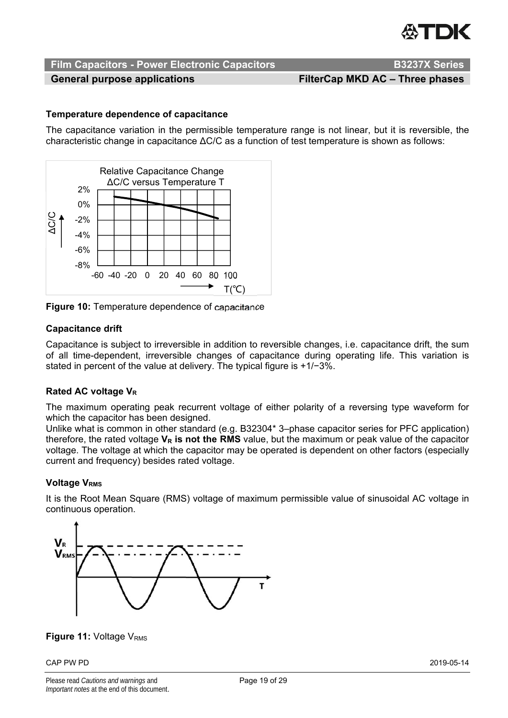

General purpose applications **FilterCap MKD AC – Three phases** 

#### **Temperature dependence of capacitance**

The capacitance variation in the permissible temperature range is not linear, but it is reversible, the characteristic change in capacitance ΔC/C as a function of test temperature is shown as follows:



**Figure 10:** Temperature dependence of capacitance

#### **Capacitance drift**

Capacitance is subject to irreversible in addition to reversible changes, i.e. capacitance drift, the sum of all time-dependent, irreversible changes of capacitance during operating life. This variation is stated in percent of the value at delivery. The typical figure is +1/−3%.

#### **Rated AC voltage V<sub>R</sub>**

The maximum operating peak recurrent voltage of either polarity of a reversing type waveform for which the capacitor has been designed.

Unlike what is common in other standard (e.g. B32304\* 3–phase capacitor series for PFC application) therefore, the rated voltage V<sub>R</sub> is not the RMS value, but the maximum or peak value of the capacitor voltage. The voltage at which the capacitor may be operated is dependent on other factors (especially current and frequency) besides rated voltage.

#### **Voltage V<sub>RMS</sub>**

It is the Root Mean Square (RMS) voltage of maximum permissible value of sinusoidal AC voltage in continuous operation.



### **Figure 11: Voltage V<sub>RMS</sub>**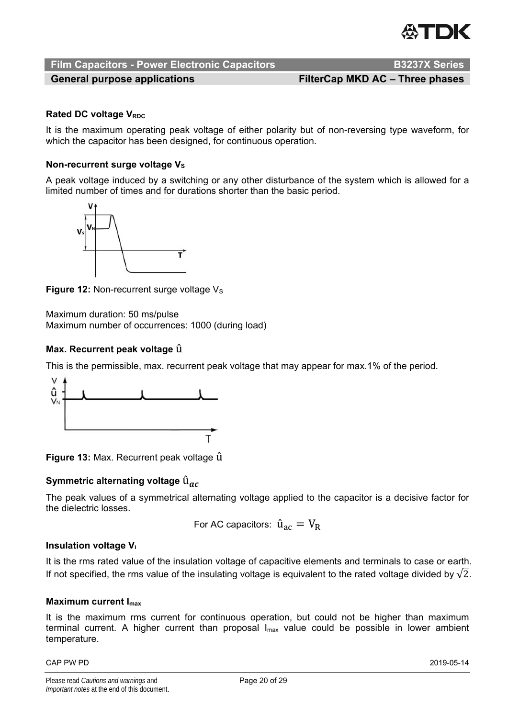

## **Film Capacitors - Power Electronic Capacitors <br>B3237X Series**

General purpose applications **FilterCap MKD AC – Three phases** 

#### **Rated DC voltage V<sub>RDC</sub>**

It is the maximum operating peak voltage of either polarity but of non-reversing type waveform, for which the capacitor has been designed, for continuous operation.

#### **Non-recurrent surge voltage Vs**

A peak voltage induced by a switching or any other disturbance of the system which is allowed for a limited number of times and for durations shorter than the basic period.



**Figure 12: Non-recurrent surge voltage V<sub>S</sub>** 

Maximum duration: 50 ms/pulse Maximum number of occurrences: 1000 (during load)

#### **Max. Recurrent peak voltage** û

This is the permissible, max. recurrent peak voltage that may appear for max.1% of the period.



**Figure 13:** Max. Recurrent peak voltage û

#### **Symmetric alternating voltage** û

The peak values of a symmetrical alternating voltage applied to the capacitor is a decisive factor for the dielectric losses.

For AC capacitors: 
$$
\hat{u}_{ac} = V_R
$$

#### **Insulation voltage Vi**

It is the rms rated value of the insulation voltage of capacitive elements and terminals to case or earth. If not specified, the rms value of the insulating voltage is equivalent to the rated voltage divided by  $\sqrt{2}$ .

#### **Maximum current Imax**

It is the maximum rms current for continuous operation, but could not be higher than maximum terminal current. A higher current than proposal  $I_{\text{max}}$  value could be possible in lower ambient temperature.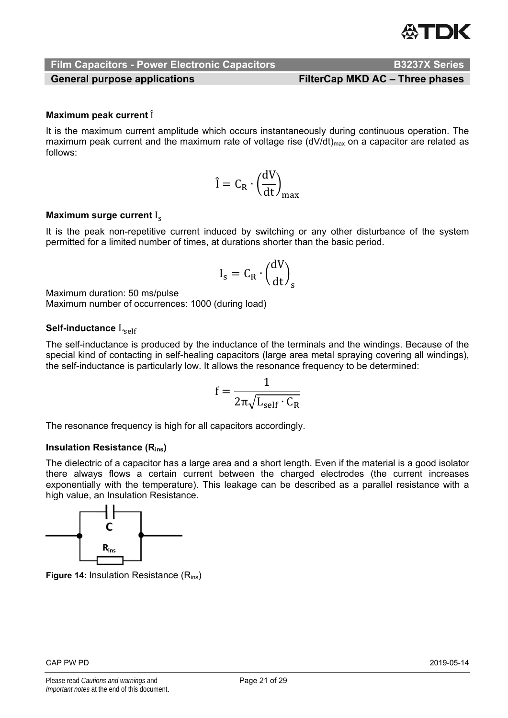**Film Capacitors - Power Electronic Capacitors <br>B3237X Series** 

General purpose applications **FilterCap MKD AC – Three phases** 

### **Maximum peak current**  $\hat{I}$

It is the maximum current amplitude which occurs instantaneously during continuous operation. The maximum peak current and the maximum rate of voltage rise (dV/dt)<sub>max</sub> on a capacitor are related as follows:

$$
\hat{I} = C_R \cdot \left(\frac{dV}{dt}\right)_{max}
$$

#### **Maximum surge current Is**

It is the peak non-repetitive current induced by switching or any other disturbance of the system permitted for a limited number of times, at durations shorter than the basic period.

$$
I_s = C_R \cdot \left(\frac{dV}{dt}\right)_s
$$

Maximum duration: 50 ms/pulse

Maximum number of occurrences: 1000 (during load)

#### **Self-inductance** L<sub>self</sub>

The self-inductance is produced by the inductance of the terminals and the windings. Because of the special kind of contacting in self-healing capacitors (large area metal spraying covering all windings), the self-inductance is particularly low. It allows the resonance frequency to be determined:

$$
f=\frac{1}{2\pi\sqrt{L_{self}\cdot C_{R}}}
$$

The resonance frequency is high for all capacitors accordingly.

#### **Insulation Resistance (Rins)**

The dielectric of a capacitor has a large area and a short length. Even if the material is a good isolator there always flows a certain current between the charged electrodes (the current increases exponentially with the temperature). This leakage can be described as a parallel resistance with a high value, an Insulation Resistance.



**Figure 14: Insulation Resistance (R<sub>ins</sub>)**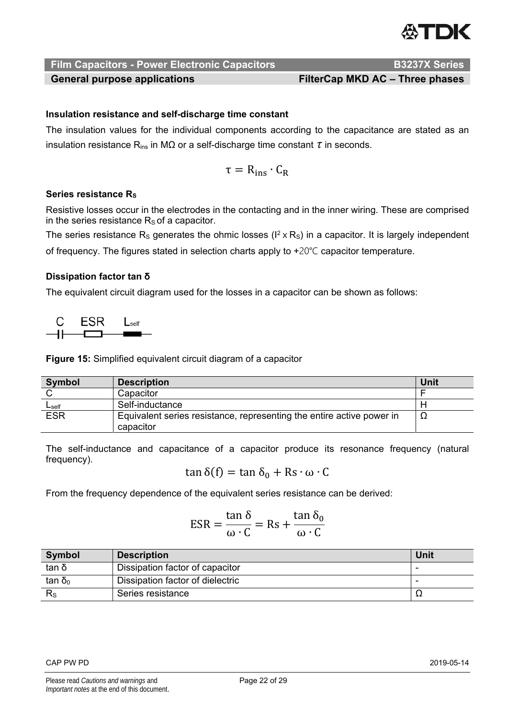

General purpose applications **FilterCap MKD AC – Three phases** 

#### **Insulation resistance and self-discharge time constant**

The insulation values for the individual components according to the capacitance are stated as an insulation resistance Rins in MΩ or a self-discharge time constant *τ* in seconds.

$$
\tau = R_{ins} \cdot C_R
$$

#### **Series resistance Rs**

Resistive losses occur in the electrodes in the contacting and in the inner wiring. These are comprised in the series resistance  $R<sub>s</sub>$  of a capacitor.

The series resistance R<sub>s</sub> generates the ohmic losses ( $I^2 \times R_s$ ) in a capacitor. It is largely independent of frequency. The figures stated in selection charts apply to +20℃ capacitor temperature.

#### **Dissipation factor tan δ**

The equivalent circuit diagram used for the losses in a capacitor can be shown as follows:



**Figure 15:** Simplified equivalent circuit diagram of a capacitor

| <b>Symbol</b> | <b>Description</b>                                                    | <b>Unit</b> |
|---------------|-----------------------------------------------------------------------|-------------|
|               | Capacitor                                                             |             |
| $L$ self      | Self-inductance                                                       |             |
| <b>ESR</b>    | Equivalent series resistance, representing the entire active power in | 77          |
|               | capacitor                                                             |             |

The self-inductance and capacitance of a capacitor produce its resonance frequency (natural frequency).

 $tan δ(f) = tan δ<sub>0</sub> + Rs · ω · C$ 

From the frequency dependence of the equivalent series resistance can be derived:

$$
ESR = \frac{\tan \delta}{\omega \cdot C} = Rs + \frac{\tan \delta_0}{\omega \cdot C}
$$

| <b>Symbol</b> | <b>Description</b>               | Unit |
|---------------|----------------------------------|------|
| tan δ         | Dissipation factor of capacitor  | -    |
| $tan δ_0$     | Dissipation factor of dielectric |      |
| $R_{\rm S}$   | Series resistance                | ▵    |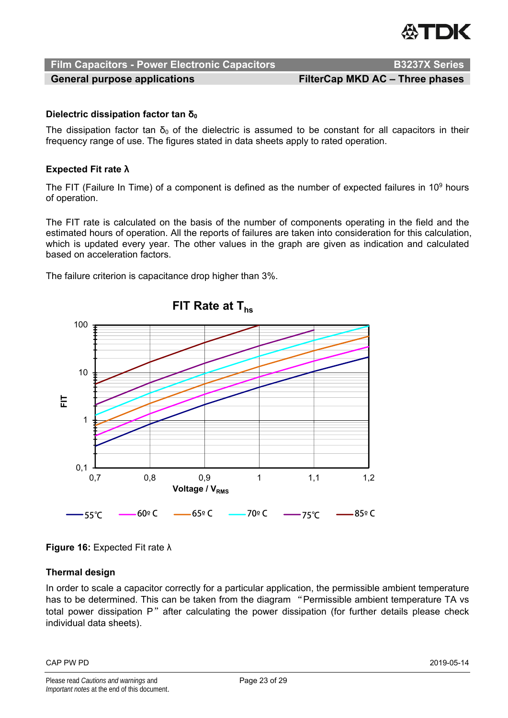General purpose applications **FilterCap MKD AC – Three phases** 

### **Dielectric dissipation factor tan δ<sub>0</sub>**

The dissipation factor tan  $\delta_0$  of the dielectric is assumed to be constant for all capacitors in their frequency range of use. The figures stated in data sheets apply to rated operation.

### **Expected Fit rate λ**

The FIT (Failure In Time) of a component is defined as the number of expected failures in 10 $9$  hours of operation.

The FIT rate is calculated on the basis of the number of components operating in the field and the estimated hours of operation. All the reports of failures are taken into consideration for this calculation, which is updated every year. The other values in the graph are given as indication and calculated based on acceleration factors.

The failure criterion is capacitance drop higher than 3%.



## **Figure 16:** Expected Fit rate λ

### **Thermal design**

In order to scale a capacitor correctly for a particular application, the permissible ambient temperature has to be determined. This can be taken from the diagram "Permissible ambient temperature TA vs total power dissipation P" after calculating the power dissipation (for further details please check individual data sheets).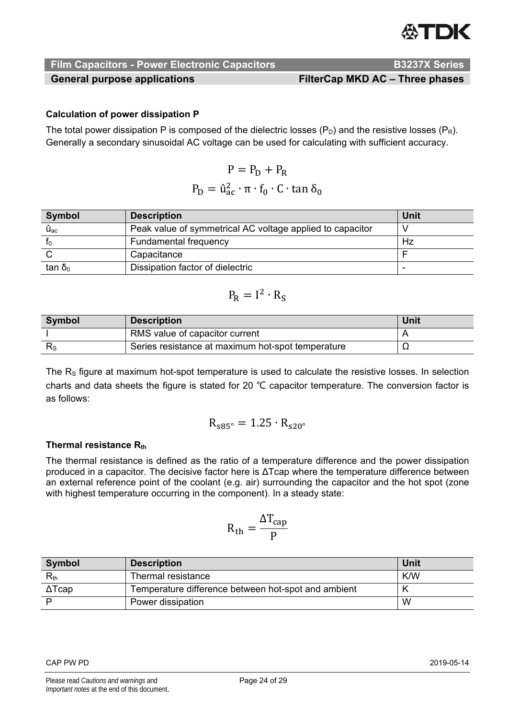# **ASTIDIK**

### **Film Capacitors - Power Electronic Capacitors Manual Canadian B3237X Series**

General purpose applications **FilterCap MKD AC – Three phases** 

## **Calculation of power dissipation P**

The total power dissipation P is composed of the dielectric losses  $(P_D)$  and the resistive losses  $(P_R)$ . Generally a secondary sinusoidal AC voltage can be used for calculating with sufficient accuracy.

$$
P = P_{D} + P_{R}
$$

$$
P_{D} = \hat{u}_{ac}^{2} \cdot \pi \cdot f_{0} \cdot C \cdot \tan \delta_{0}
$$

| <b>Symbol</b>           | <b>Description</b>                                        | Unit |
|-------------------------|-----------------------------------------------------------|------|
| $\mathbf{\hat{U}_{ac}}$ | Peak value of symmetrical AC voltage applied to capacitor |      |
|                         | <b>Fundamental frequency</b>                              | Hz   |
|                         | Capacitance                                               |      |
| tan δ <sub>0</sub>      | Dissipation factor of dielectric                          |      |

$$
P_R = I^2 \cdot R_S
$$

| Symbol | <b>Description</b>                                | Unit |
|--------|---------------------------------------------------|------|
|        | RMS value of capacitor current                    |      |
| ΓS.    | Series resistance at maximum hot-spot temperature | -24  |

The  $R<sub>s</sub>$  figure at maximum hot-spot temperature is used to calculate the resistive losses. In selection charts and data sheets the figure is stated for 20 ℃ capacitor temperature. The conversion factor is as follows:

$$
R_{s85^\circ} = 1.25 \cdot R_{s20^\circ}
$$

### **Thermal resistance Rth**

The thermal resistance is defined as the ratio of a temperature difference and the power dissipation produced in a capacitor. The decisive factor here is ΔTcap where the temperature difference between an external reference point of the coolant (e.g. air) surrounding the capacitor and the hot spot (zone with highest temperature occurring in the component). In a steady state:

$$
R_{th}=\frac{\Delta T_{cap}}{P}
$$

| <b>Symbol</b> | <b>Description</b>                                  | Unit |
|---------------|-----------------------------------------------------|------|
| $R_{\rm th}$  | Thermal resistance                                  | K/W  |
| $\Delta$ Tcap | Temperature difference between hot-spot and ambient |      |
|               | Power dissipation                                   | W    |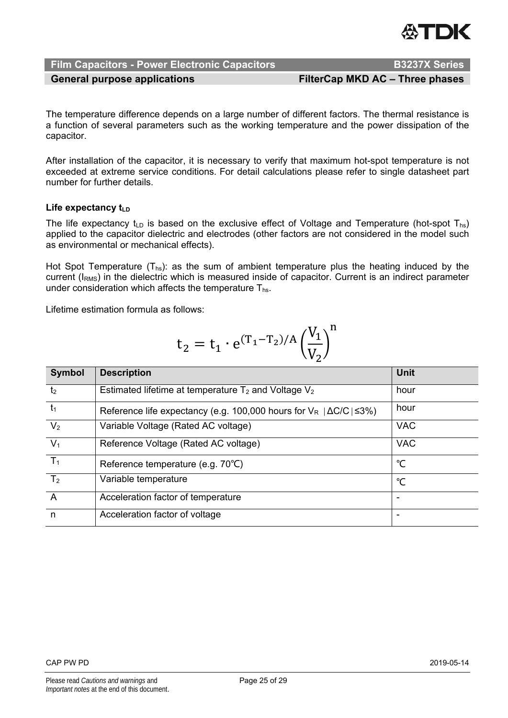

General purpose applications **FilterCap MKD AC – Three phases** 

The temperature difference depends on a large number of different factors. The thermal resistance is a function of several parameters such as the working temperature and the power dissipation of the capacitor.

After installation of the capacitor, it is necessary to verify that maximum hot-spot temperature is not exceeded at extreme service conditions. For detail calculations please refer to single datasheet part number for further details.

#### Life expectancy t<sub>LD</sub>

The life expectancy t<sub>LD</sub> is based on the exclusive effect of Voltage and Temperature (hot-spot T<sub>hs</sub>) applied to the capacitor dielectric and electrodes (other factors are not considered in the model such as environmental or mechanical effects).

Hot Spot Temperature  $(T_{hs})$ : as the sum of ambient temperature plus the heating induced by the current (I<sub>RMS</sub>) in the dielectric which is measured inside of capacitor. Current is an indirect parameter under consideration which affects the temperature  $T_{hs}$ .

Lifetime estimation formula as follows:

$$
t_2 = t_1 \cdot e^{(T_1 - T_2)/A} \left(\frac{V_1}{V_2}\right)^n
$$

| Symbol         | <b>Description</b>                                                                | Unit       |
|----------------|-----------------------------------------------------------------------------------|------------|
| t <sub>2</sub> | Estimated lifetime at temperature $T_2$ and Voltage $V_2$                         | hour       |
| $t_1$          | Reference life expectancy (e.g. 100,000 hours for $V_R$ $ \Delta C/C  \leq 3\%$ ) | hour       |
| V <sub>2</sub> | Variable Voltage (Rated AC voltage)                                               | <b>VAC</b> |
| V <sub>1</sub> | Reference Voltage (Rated AC voltage)                                              | <b>VAC</b> |
| $T_1$          | Reference temperature (e.g. 70°C)                                                 | °C         |
| T <sub>2</sub> | Variable temperature                                                              | °C         |
| $\overline{A}$ | Acceleration factor of temperature                                                |            |
| n              | Acceleration factor of voltage                                                    |            |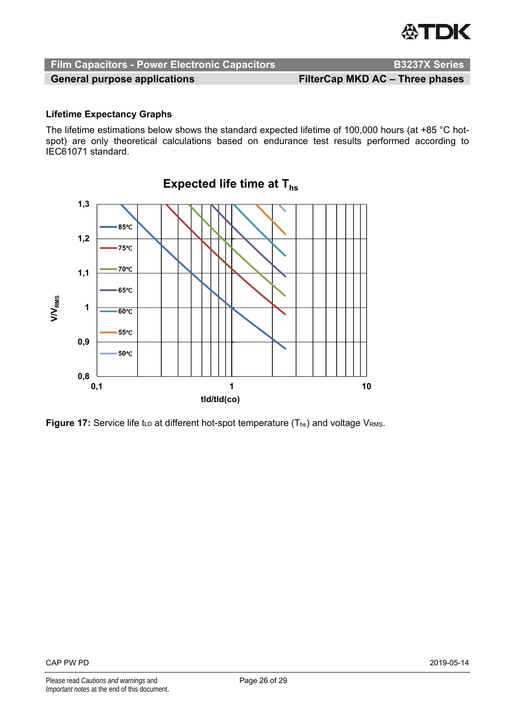

General purpose applications **FilterCap MKD AC – Three phases** 

#### **Lifetime Expectancy Graphs**

The lifetime estimations below shows the standard expected lifetime of 100,000 hours (at +85 °C hotspot) are only theoretical calculations based on endurance test results performed according to IEC61071 standard.



**Figure 17:** Service life t<sub>LD</sub> at different hot-spot temperature (T<sub>hs</sub>) and voltage V<sub>RMS</sub>.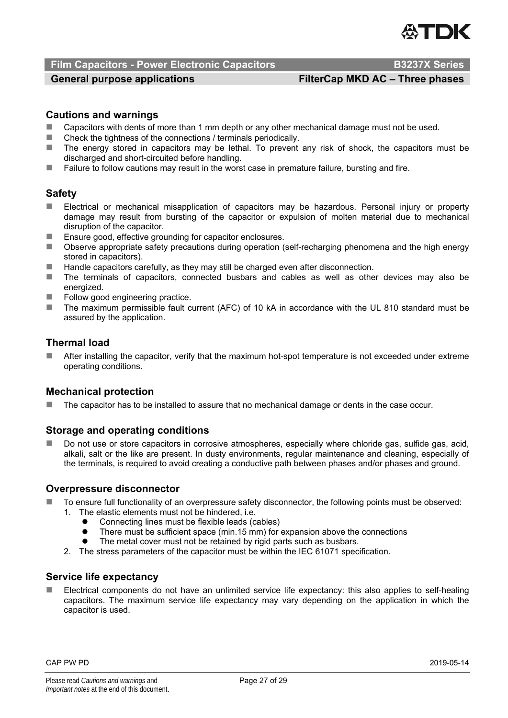#### **Film Capacitors - Power Electronic Capacitors Access Access Agglesion B3237X Series**

### General purpose applications **FilterCap MKD AC – Three phases**

#### **Cautions and warnings**

- Capacitors with dents of more than 1 mm depth or any other mechanical damage must not be used.<br>■ Check the tightness of the connections / terminals periodically
- Check the tightness of the connections / terminals periodically.
- The energy stored in capacitors may be lethal. To prevent any risk of shock, the capacitors must be discharged and short-circuited before handling.
- **Failure to follow cautions may result in the worst case in premature failure, bursting and fire.**

#### **Safety**

- Electrical or mechanical misapplication of capacitors may be hazardous. Personal injury or property damage may result from bursting of the capacitor or expulsion of molten material due to mechanical disruption of the capacitor.
- Ensure good, effective grounding for capacitor enclosures.
- Observe appropriate safety precautions during operation (self-recharging phenomena and the high energy stored in capacitors).
- $\blacksquare$  Handle capacitors carefully, as they may still be charged even after disconnection.
- The terminals of capacitors, connected busbars and cables as well as other devices may also be energized.
- $\blacksquare$  Follow good engineering practice.
- The maximum permissible fault current (AFC) of 10 kA in accordance with the UL 810 standard must be assured by the application.

#### **Thermal load**

 After installing the capacitor, verify that the maximum hot-spot temperature is not exceeded under extreme operating conditions.

#### **Mechanical protection**

The capacitor has to be installed to assure that no mechanical damage or dents in the case occur.

#### **Storage and operating conditions**

 Do not use or store capacitors in corrosive atmospheres, especially where chloride gas, sulfide gas, acid, alkali, salt or the like are present. In dusty environments, regular maintenance and cleaning, especially of the terminals, is required to avoid creating a conductive path between phases and/or phases and ground.

#### **Overpressure disconnector**

- To ensure full functionality of an overpressure safety disconnector, the following points must be observed:
	- 1. The elastic elements must not be hindered, i.e.
		- Connecting lines must be flexible leads (cables)
		- There must be sufficient space (min.15 mm) for expansion above the connections
		- The metal cover must not be retained by rigid parts such as busbars.
	- 2. The stress parameters of the capacitor must be within the IEC 61071 specification.

#### **Service life expectancy**

 Electrical components do not have an unlimited service life expectancy: this also applies to self-healing capacitors. The maximum service life expectancy may vary depending on the application in which the capacitor is used.

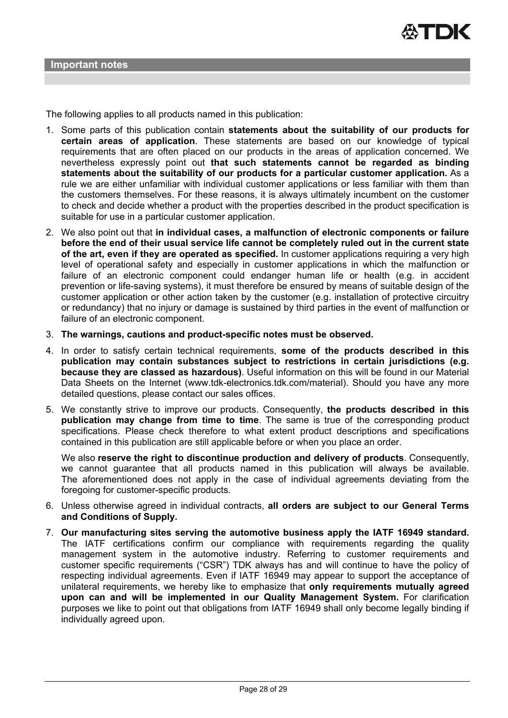The following applies to all products named in this publication:

- 1. Some parts of this publication contain **statements about the suitability of our products for certain areas of application**. These statements are based on our knowledge of typical requirements that are often placed on our products in the areas of application concerned. We nevertheless expressly point out **that such statements cannot be regarded as binding statements about the suitability of our products for a particular customer application.** As a rule we are either unfamiliar with individual customer applications or less familiar with them than the customers themselves. For these reasons, it is always ultimately incumbent on the customer to check and decide whether a product with the properties described in the product specification is suitable for use in a particular customer application.
- 2. We also point out that **in individual cases, a malfunction of electronic components or failure before the end of their usual service life cannot be completely ruled out in the current state of the art, even if they are operated as specified.** In customer applications requiring a very high level of operational safety and especially in customer applications in which the malfunction or failure of an electronic component could endanger human life or health (e.g. in accident prevention or life-saving systems), it must therefore be ensured by means of suitable design of the customer application or other action taken by the customer (e.g. installation of protective circuitry or redundancy) that no injury or damage is sustained by third parties in the event of malfunction or failure of an electronic component.
- 3. **The warnings, cautions and product-specific notes must be observed.**
- 4. In order to satisfy certain technical requirements, **some of the products described in this publication may contain substances subject to restrictions in certain jurisdictions (e.g. because they are classed as hazardous)**. Useful information on this will be found in our Material Data Sheets on the Internet (www.tdk-electronics.tdk.com/material). Should you have any more detailed questions, please contact our sales offices.
- 5. We constantly strive to improve our products. Consequently, **the products described in this publication may change from time to time**. The same is true of the corresponding product specifications. Please check therefore to what extent product descriptions and specifications contained in this publication are still applicable before or when you place an order.

We also **reserve the right to discontinue production and delivery of products**. Consequently, we cannot guarantee that all products named in this publication will always be available. The aforementioned does not apply in the case of individual agreements deviating from the foregoing for customer-specific products.

- 6. Unless otherwise agreed in individual contracts, **all orders are subject to our General Terms and Conditions of Supply.**
- 7. **Our manufacturing sites serving the automotive business apply the IATF 16949 standard.** The IATF certifications confirm our compliance with requirements regarding the quality management system in the automotive industry. Referring to customer requirements and customer specific requirements ("CSR") TDK always has and will continue to have the policy of respecting individual agreements. Even if IATF 16949 may appear to support the acceptance of unilateral requirements, we hereby like to emphasize that **only requirements mutually agreed upon can and will be implemented in our Quality Management System.** For clarification purposes we like to point out that obligations from IATF 16949 shall only become legally binding if individually agreed upon.